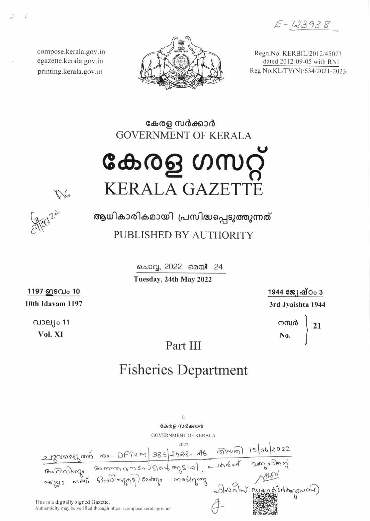$E - 123938$ 

compose.kerala.gov.in egazette.kerala.gov.in printing.kerala.gov.in



Regn. No. KERBIL/2012/45073 dated 2012-09-05 with RNI Reg No.KL/TV(N)/634/2021-2023

# കേരള സർക്കാർ **GOVERNMENT OF KERALA** കേരള ഗസറ്റ്

126

ആധികാരികമായി പ്രസിദ്ധപ്പെടുത്തുന്നത് PUBLISHED BY AUTHORITY

**KERALA GAZET** 

ചൊവ്വ, 2022 മെയ് 24

Tuesday, 24th May 2022

1944 ജേഷ്ഠം 3 3rd Jyaishta 1944

> നമ്പർ 21

1197 ഇടവം 10 10th Idavam 1197

> വാല്യം 11 Vol. XI

### Part III

## **Fisheries Department**

 $\odot$ കേരള സർക്കാർ **GOVERNMENT OF KERALA** This is a digitally signed Gazette. Authenticity may be verified through https: /compose.kerala.gov.in/